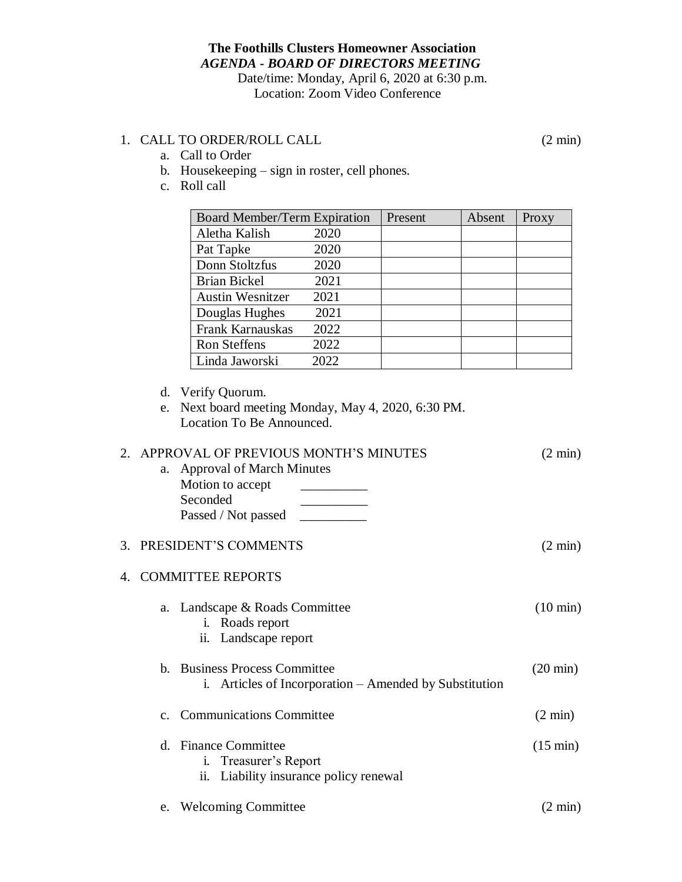## **The Foothills Clusters Homeowner Association** *AGENDA - BOARD OF DIRECTORS MEETING* Date/time: Monday, April 6, 2020 at 6:30 p.m.

Location: Zoom Video Conference

## 1. CALL TO ORDER/ROLL CALL (2 min)

a. Call to Order

- b. Housekeeping sign in roster, cell phones.
- c. Roll call

| Board Member/Term Expiration |      | Present | Absent | Proxy |
|------------------------------|------|---------|--------|-------|
| Aletha Kalish                | 2020 |         |        |       |
| Pat Tapke                    | 2020 |         |        |       |
| Donn Stoltzfus               | 2020 |         |        |       |
| <b>Brian Bickel</b>          | 2021 |         |        |       |
| <b>Austin Wesnitzer</b>      | 2021 |         |        |       |
| Douglas Hughes               | 2021 |         |        |       |
| Frank Karnauskas             | 2022 |         |        |       |
| <b>Ron Steffens</b>          | 2022 |         |        |       |
| Linda Jaworski               | 2022 |         |        |       |

d. Verify Quorum.

e. Next board meeting Monday, May 4, 2020, 6:30 PM. Location To Be Announced.

| $2^{\circ}$  | APPROVAL OF PREVIOUS MONTH'S MINUTES<br>a. Approval of March Minutes<br>Motion to accept<br>Seconded<br>Passed / Not passed | $(2 \text{ min})$  |
|--------------|-----------------------------------------------------------------------------------------------------------------------------|--------------------|
| 3.           | PRESIDENT'S COMMENTS                                                                                                        | $(2 \text{ min})$  |
| $\mathbf{4}$ | <b>COMMITTEE REPORTS</b>                                                                                                    |                    |
|              | a. Landscape & Roads Committee<br>i. Roads report<br>Landscape report<br>ii.                                                | $(10 \text{ min})$ |
|              | <b>Business Process Committee</b><br>$h_{-}$<br>i. Articles of Incorporation – Amended by Substitution                      | $(20 \text{ min})$ |
|              | <b>Communications Committee</b><br>C <sub>1</sub>                                                                           | $(2 \text{ min})$  |
|              | <b>Finance Committee</b><br>$d_{-}$<br>i. Treasurer's Report<br>Liability insurance policy renewal<br>ii.                   | $(15 \text{ min})$ |
|              | e. Welcoming Committee                                                                                                      | $(2 \text{ min})$  |